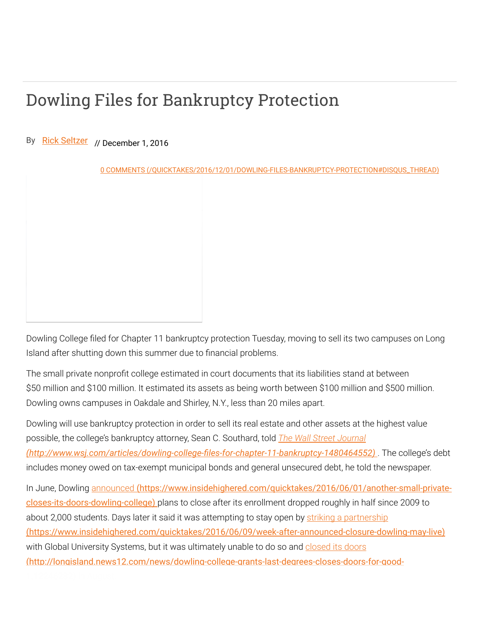## Dowling Files for Bankruptcy Protection

By [Rick Seltzer](https://www.insidehighered.com/users/rick-seltzer) // December 1, 2016

0 COMMENTS (/QUICKTAKES/2016/12/01/DOWLING-FILES-BANKRUPTCY-PROTECTION#DISQUS\_THREAD)

Dowling College filed for Chapter 11 bankruptcy protection Tuesday, moving to sell its two campuses on Long Island after shutting down this summer due to financial problems.

The small private nonprofit college estimated in court documents that its liabilities stand at between \$50 million and \$100 million. It estimated its assets as being worth between \$100 million and \$500 million. Dowling owns campuses in Oakdale and Shirley, N.Y., less than 20 miles apart.

Dowling will use bankruptcy protection in order to sell its real estate and other assets at the highest value possible, the college's bankruptcy attorney, Sean C. Southard, told *The Wall Street Journal* (http://www.wsj.com/articles/dowling-college-files-for-chapter-11-bankruptcy-1480464552). The college's debt includes money owed on tax-exempt municipal bonds and general unsecured debt, he told the newspaper.

In June, Dowling announced [\(https://www.insidehighered.com/quicktakes/2016/06/01/another-small-private](https://www.insidehighered.com/quicktakes/2016/06/01/another-small-private-closes-its-doors-dowling-college)closes-its-doors-dowling-college) plans to close after its enrollment dropped roughly in half since 2009 to about 2,000 students. Days later it said it was attempting to stay open by striking a partnership [\(https://www.insidehighered.com/quicktakes/2016/06/09/week-after-announced-closure-dowling-may-live\)](https://www.insidehighered.com/quicktakes/2016/06/09/week-after-announced-closure-dowling-may-live) with Global University Systems, but it was ultimately unable to do so and closed its doors [\(http://longisland.news12.com/news/dowling-college-grants-last-degrees-closes-doors-for-good-](http://longisland.news12.com/news/dowling-college-grants-last-degrees-closes-doors-for-good-1.12246232)